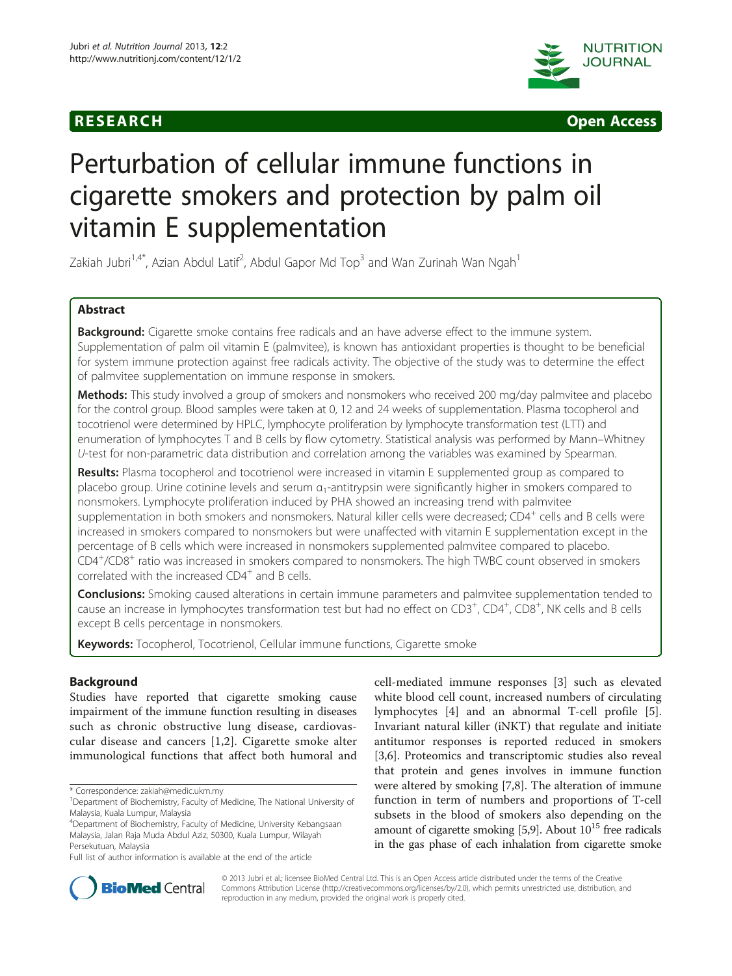



# Perturbation of cellular immune functions in cigarette smokers and protection by palm oil vitamin E supplementation

Zakiah Jubri $^{1,4^*}$ , Azian Abdul Latif $^2$ , Abdul Gapor Md Top $^3$  and Wan Zurinah Wan Ngah $^1$ 

# Abstract

Background: Cigarette smoke contains free radicals and an have adverse effect to the immune system. Supplementation of palm oil vitamin E (palmvitee), is known has antioxidant properties is thought to be beneficial for system immune protection against free radicals activity. The objective of the study was to determine the effect of palmvitee supplementation on immune response in smokers.

Methods: This study involved a group of smokers and nonsmokers who received 200 mg/day palmvitee and placebo for the control group. Blood samples were taken at 0, 12 and 24 weeks of supplementation. Plasma tocopherol and tocotrienol were determined by HPLC, lymphocyte proliferation by lymphocyte transformation test (LTT) and enumeration of lymphocytes T and B cells by flow cytometry. Statistical analysis was performed by Mann–Whitney U-test for non-parametric data distribution and correlation among the variables was examined by Spearman.

Results: Plasma tocopherol and tocotrienol were increased in vitamin E supplemented group as compared to placebo group. Urine cotinine levels and serum α1-antitrypsin were significantly higher in smokers compared to nonsmokers. Lymphocyte proliferation induced by PHA showed an increasing trend with palmvitee supplementation in both smokers and nonsmokers. Natural killer cells were decreased; CD4<sup>+</sup> cells and B cells were increased in smokers compared to nonsmokers but were unaffected with vitamin E supplementation except in the percentage of B cells which were increased in nonsmokers supplemented palmvitee compared to placebo. CD4<sup>+</sup> /CD8<sup>+</sup> ratio was increased in smokers compared to nonsmokers. The high TWBC count observed in smokers correlated with the increased CD4<sup>+</sup> and B cells.

Conclusions: Smoking caused alterations in certain immune parameters and palmvitee supplementation tended to cause an increase in lymphocytes transformation test but had no effect on CD3<sup>+</sup>, CD4<sup>+</sup>, CD8<sup>+</sup>, NK cells and B cells except B cells percentage in nonsmokers.

Keywords: Tocopherol, Tocotrienol, Cellular immune functions, Cigarette smoke

# Background

Studies have reported that cigarette smoking cause impairment of the immune function resulting in diseases such as chronic obstructive lung disease, cardiovascular disease and cancers [[1,2\]](#page-10-0). Cigarette smoke alter immunological functions that affect both humoral and cell-mediated immune responses [[3\]](#page-10-0) such as elevated white blood cell count, increased numbers of circulating lymphocytes [\[4](#page-10-0)] and an abnormal T-cell profile [\[5](#page-10-0)]. Invariant natural killer (iNKT) that regulate and initiate antitumor responses is reported reduced in smokers [[3,6](#page-10-0)]. Proteomics and transcriptomic studies also reveal that protein and genes involves in immune function were altered by smoking [[7,8\]](#page-10-0). The alteration of immune function in term of numbers and proportions of T-cell subsets in the blood of smokers also depending on the amount of cigarette smoking  $[5,9]$  $[5,9]$  $[5,9]$ . About  $10^{15}$  free radicals in the gas phase of each inhalation from cigarette smoke



© 2013 Jubri et al.; licensee BioMed Central Ltd. This is an Open Access article distributed under the terms of the Creative Commons Attribution License [\(http://creativecommons.org/licenses/by/2.0\)](http://creativecommons.org/licenses/by/2.0), which permits unrestricted use, distribution, and reproduction in any medium, provided the original work is properly cited.

<sup>\*</sup> Correspondence: [zakiah@medic.ukm.my](mailto:zakiah@medic.ukm.my) <sup>1</sup>

<sup>&</sup>lt;sup>1</sup>Department of Biochemistry, Faculty of Medicine, The National University of Malaysia, Kuala Lumpur, Malaysia

<sup>4</sup> Department of Biochemistry, Faculty of Medicine, University Kebangsaan Malaysia, Jalan Raja Muda Abdul Aziz, 50300, Kuala Lumpur, Wilayah Persekutuan, Malaysia

Full list of author information is available at the end of the article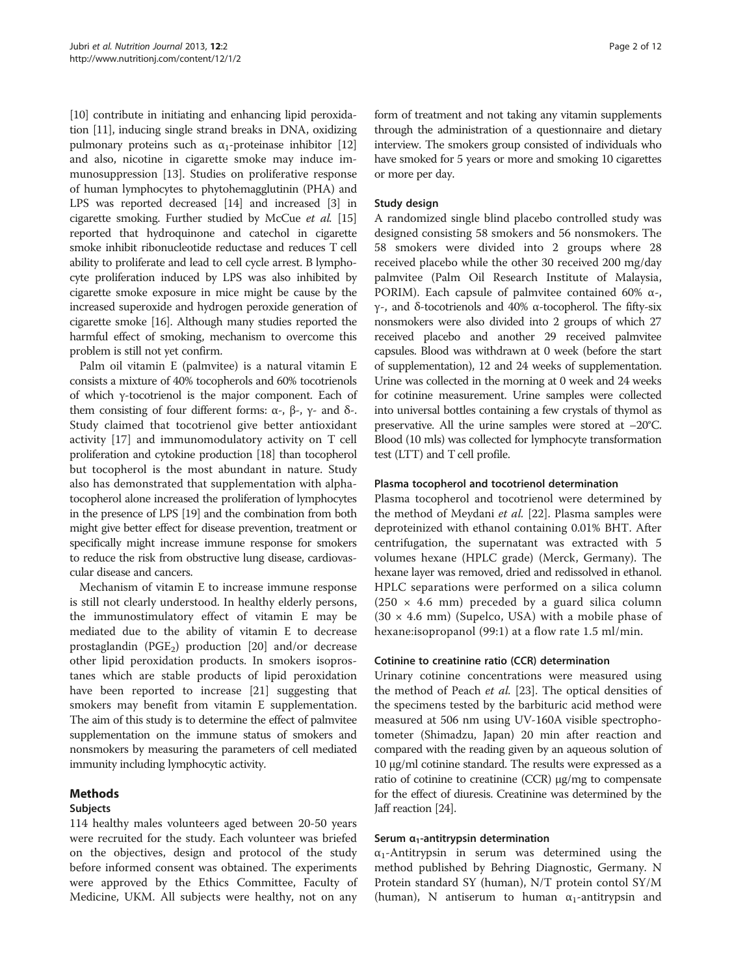[[10](#page-10-0)] contribute in initiating and enhancing lipid peroxidation [[11](#page-10-0)], inducing single strand breaks in DNA, oxidizing pulmonary proteins such as  $α₁$ -proteinase inhibitor [\[12](#page-10-0)] and also, nicotine in cigarette smoke may induce immunosuppression [[13](#page-10-0)]. Studies on proliferative response of human lymphocytes to phytohemagglutinin (PHA) and LPS was reported decreased [\[14\]](#page-10-0) and increased [\[3](#page-10-0)] in cigarette smoking. Further studied by McCue et al. [\[15](#page-10-0)] reported that hydroquinone and catechol in cigarette smoke inhibit ribonucleotide reductase and reduces T cell ability to proliferate and lead to cell cycle arrest. B lymphocyte proliferation induced by LPS was also inhibited by cigarette smoke exposure in mice might be cause by the increased superoxide and hydrogen peroxide generation of cigarette smoke [\[16](#page-10-0)]. Although many studies reported the harmful effect of smoking, mechanism to overcome this problem is still not yet confirm.

Palm oil vitamin E (palmvitee) is a natural vitamin E consists a mixture of 40% tocopherols and 60% tocotrienols of which γ-tocotrienol is the major component. Each of them consisting of four different forms:  $\alpha$ -,  $\beta$ -,  $\gamma$ - and δ-. Study claimed that tocotrienol give better antioxidant activity [[17\]](#page-10-0) and immunomodulatory activity on T cell proliferation and cytokine production [[18](#page-10-0)] than tocopherol but tocopherol is the most abundant in nature. Study also has demonstrated that supplementation with alphatocopherol alone increased the proliferation of lymphocytes in the presence of LPS [[19](#page-10-0)] and the combination from both might give better effect for disease prevention, treatment or specifically might increase immune response for smokers to reduce the risk from obstructive lung disease, cardiovascular disease and cancers.

Mechanism of vitamin E to increase immune response is still not clearly understood. In healthy elderly persons, the immunostimulatory effect of vitamin E may be mediated due to the ability of vitamin E to decrease prostaglandin ( $PGE_2$ ) production [[20\]](#page-10-0) and/or decrease other lipid peroxidation products. In smokers isoprostanes which are stable products of lipid peroxidation have been reported to increase [\[21\]](#page-10-0) suggesting that smokers may benefit from vitamin E supplementation. The aim of this study is to determine the effect of palmvitee supplementation on the immune status of smokers and nonsmokers by measuring the parameters of cell mediated immunity including lymphocytic activity.

# Methods

# Subjects

114 healthy males volunteers aged between 20-50 years were recruited for the study. Each volunteer was briefed on the objectives, design and protocol of the study before informed consent was obtained. The experiments were approved by the Ethics Committee, Faculty of Medicine, UKM. All subjects were healthy, not on any

form of treatment and not taking any vitamin supplements through the administration of a questionnaire and dietary interview. The smokers group consisted of individuals who have smoked for 5 years or more and smoking 10 cigarettes or more per day.

# Study design

A randomized single blind placebo controlled study was designed consisting 58 smokers and 56 nonsmokers. The 58 smokers were divided into 2 groups where 28 received placebo while the other 30 received 200 mg/day palmvitee (Palm Oil Research Institute of Malaysia, PORIM). Each capsule of palmvitee contained 60%  $\alpha$ -, γ-, and δ-tocotrienols and 40% α-tocopherol. The fifty-six nonsmokers were also divided into 2 groups of which 27 received placebo and another 29 received palmvitee capsules. Blood was withdrawn at 0 week (before the start of supplementation), 12 and 24 weeks of supplementation. Urine was collected in the morning at 0 week and 24 weeks for cotinine measurement. Urine samples were collected into universal bottles containing a few crystals of thymol as preservative. All the urine samples were stored at –20°C. Blood (10 mls) was collected for lymphocyte transformation test (LTT) and T cell profile.

# Plasma tocopherol and tocotrienol determination

Plasma tocopherol and tocotrienol were determined by the method of Meydani et al. [[22\]](#page-10-0). Plasma samples were deproteinized with ethanol containing 0.01% BHT. After centrifugation, the supernatant was extracted with 5 volumes hexane (HPLC grade) (Merck, Germany). The hexane layer was removed, dried and redissolved in ethanol. HPLC separations were performed on a silica column  $(250 \times 4.6 \text{ mm})$  preceded by a guard silica column  $(30 \times 4.6 \text{ mm})$  (Supelco, USA) with a mobile phase of hexane:isopropanol (99:1) at a flow rate 1.5 ml/min.

# Cotinine to creatinine ratio (CCR) determination

Urinary cotinine concentrations were measured using the method of Peach et al. [[23](#page-10-0)]. The optical densities of the specimens tested by the barbituric acid method were measured at 506 nm using UV-160A visible spectrophotometer (Shimadzu, Japan) 20 min after reaction and compared with the reading given by an aqueous solution of 10 μg/ml cotinine standard. The results were expressed as a ratio of cotinine to creatinine (CCR) μg/mg to compensate for the effect of diuresis. Creatinine was determined by the Jaff reaction [\[24](#page-10-0)].

# Serum  $\alpha_1$ -antitrypsin determination

 $\alpha_1$ -Antitrypsin in serum was determined using the method published by Behring Diagnostic, Germany. N Protein standard SY (human), N/T protein contol SY/M (human), N antiserum to human  $\alpha_1$ -antitrypsin and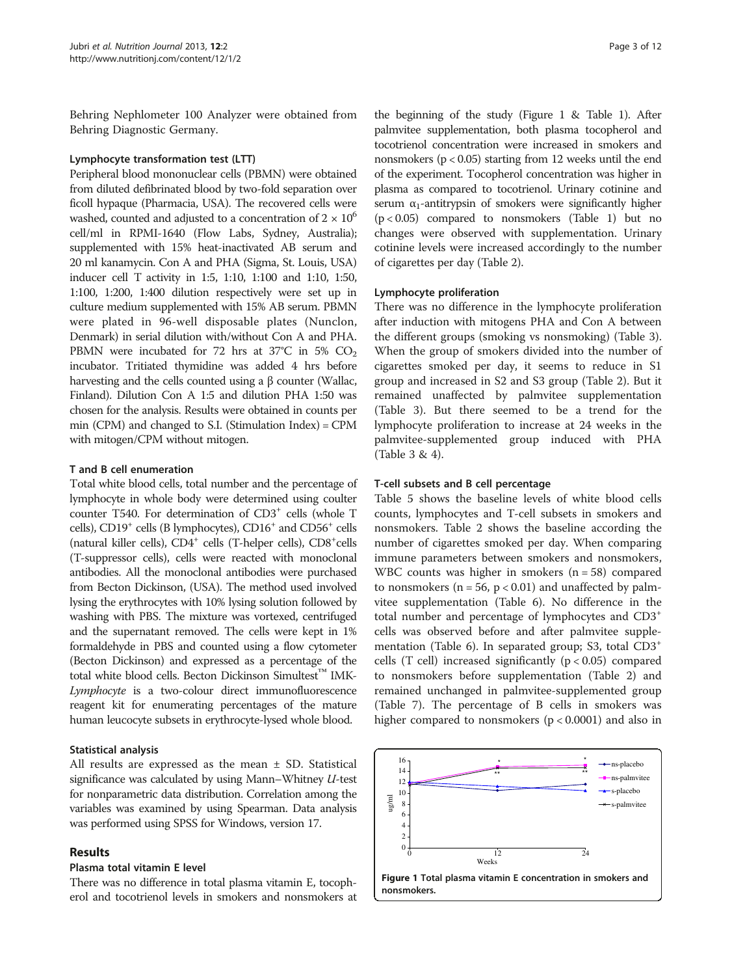Behring Nephlometer 100 Analyzer were obtained from Behring Diagnostic Germany.

#### Lymphocyte transformation test (LTT)

Peripheral blood mononuclear cells (PBMN) were obtained from diluted defibrinated blood by two-fold separation over ficoll hypaque (Pharmacia, USA). The recovered cells were washed, counted and adjusted to a concentration of  $2 \times 10^6$ cell/ml in RPMI-1640 (Flow Labs, Sydney, Australia); supplemented with 15% heat-inactivated AB serum and 20 ml kanamycin. Con A and PHA (Sigma, St. Louis, USA) inducer cell T activity in 1:5, 1:10, 1:100 and 1:10, 1:50, 1:100, 1:200, 1:400 dilution respectively were set up in culture medium supplemented with 15% AB serum. PBMN were plated in 96-well disposable plates (Nunclon, Denmark) in serial dilution with/without Con A and PHA. PBMN were incubated for 72 hrs at  $37^{\circ}$ C in 5% CO<sub>2</sub> incubator. Tritiated thymidine was added 4 hrs before harvesting and the cells counted using a β counter (Wallac, Finland). Dilution Con A 1:5 and dilution PHA 1:50 was chosen for the analysis. Results were obtained in counts per min (CPM) and changed to S.I. (Stimulation Index) = CPM with mitogen/CPM without mitogen.

#### T and B cell enumeration

Total white blood cells, total number and the percentage of lymphocyte in whole body were determined using coulter counter T540. For determination of CD3+ cells (whole T cells), CD19+ cells (B lymphocytes), CD16+ and CD56+ cells (natural killer cells), CD4<sup>+</sup> cells (T-helper cells), CD8<sup>+</sup>cells (T-suppressor cells), cells were reacted with monoclonal antibodies. All the monoclonal antibodies were purchased from Becton Dickinson, (USA). The method used involved lysing the erythrocytes with 10% lysing solution followed by washing with PBS. The mixture was vortexed, centrifuged and the supernatant removed. The cells were kept in 1% formaldehyde in PBS and counted using a flow cytometer (Becton Dickinson) and expressed as a percentage of the total white blood cells. Becton Dickinson Simultest<sup>™</sup> IMK-Lymphocyte is a two-colour direct immunofluorescence reagent kit for enumerating percentages of the mature human leucocyte subsets in erythrocyte-lysed whole blood.

#### Statistical analysis

All results are expressed as the mean  $\pm$  SD. Statistical significance was calculated by using Mann–Whitney U-test for nonparametric data distribution. Correlation among the variables was examined by using Spearman. Data analysis was performed using SPSS for Windows, version 17.

# Results

#### Plasma total vitamin E level

There was no difference in total plasma vitamin E, tocopherol and tocotrienol levels in smokers and nonsmokers at

the beginning of the study (Figure 1 & Table [1](#page-3-0)). After palmvitee supplementation, both plasma tocopherol and tocotrienol concentration were increased in smokers and nonsmokers ( $p < 0.05$ ) starting from 12 weeks until the end of the experiment. Tocopherol concentration was higher in plasma as compared to tocotrienol. Urinary cotinine and serum  $\alpha_1$ -antitrypsin of smokers were significantly higher  $(p < 0.05)$  compared to nonsmokers (Table [1\)](#page-3-0) but no changes were observed with supplementation. Urinary cotinine levels were increased accordingly to the number of cigarettes per day (Table [2\)](#page-3-0).

#### Lymphocyte proliferation

There was no difference in the lymphocyte proliferation after induction with mitogens PHA and Con A between the different groups (smoking vs nonsmoking) (Table [3](#page-4-0)). When the group of smokers divided into the number of cigarettes smoked per day, it seems to reduce in S1 group and increased in S2 and S3 group (Table [2](#page-3-0)). But it remained unaffected by palmvitee supplementation (Table [3](#page-4-0)). But there seemed to be a trend for the lymphocyte proliferation to increase at 24 weeks in the palmvitee-supplemented group induced with PHA (Table [3](#page-4-0) & [4\)](#page-4-0).

#### T-cell subsets and B cell percentage

Table [5](#page-5-0) shows the baseline levels of white blood cells counts, lymphocytes and T-cell subsets in smokers and nonsmokers. Table [2](#page-3-0) shows the baseline according the number of cigarettes smoked per day. When comparing immune parameters between smokers and nonsmokers, WBC counts was higher in smokers (n = 58) compared to nonsmokers ( $n = 56$ ,  $p < 0.01$ ) and unaffected by palmvitee supplementation (Table [6](#page-5-0)). No difference in the total number and percentage of lymphocytes and CD3<sup>+</sup> cells was observed before and after palmvitee supplementation (Table [6](#page-5-0)). In separated group; S3, total CD3<sup>+</sup> cells (T cell) increased significantly  $(p < 0.05)$  compared to nonsmokers before supplementation (Table [2\)](#page-3-0) and remained unchanged in palmvitee-supplemented group (Table [7](#page-6-0)). The percentage of B cells in smokers was higher compared to nonsmokers ( $p < 0.0001$ ) and also in

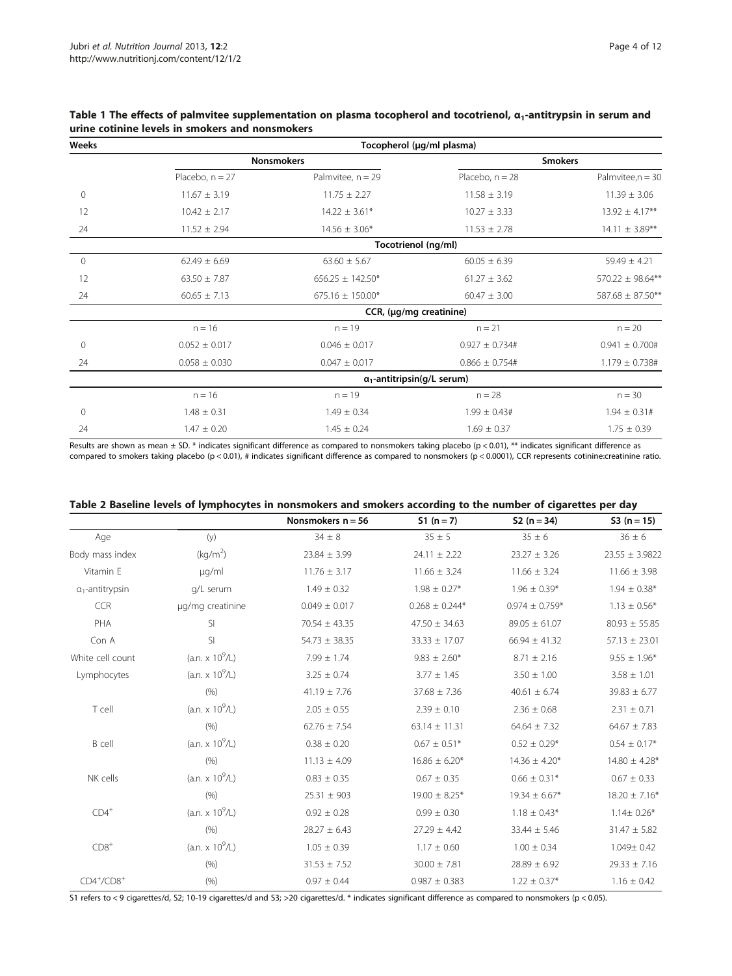| Weeks        | Tocopherol (µg/ml plasma)          |                         |                     |                       |  |  |  |
|--------------|------------------------------------|-------------------------|---------------------|-----------------------|--|--|--|
|              |                                    | <b>Nonsmokers</b>       | <b>Smokers</b>      |                       |  |  |  |
|              | Placebo, $n = 27$                  | Palmvitee, $n = 29$     | Placebo, $n = 28$   | Palmvitee, $n = 30$   |  |  |  |
| 0            | $11.67 \pm 3.19$                   | $11.75 \pm 2.27$        | $11.58 \pm 3.19$    | $11.39 \pm 3.06$      |  |  |  |
| 12           | $10.42 \pm 2.17$                   | $14.22 \pm 3.61*$       | $10.27 \pm 3.33$    | $13.92 \pm 4.17**$    |  |  |  |
| 24           | $11.52 \pm 2.94$                   | $14.56 \pm 3.06*$       | $11.53 \pm 2.78$    | $14.11 \pm 3.89***$   |  |  |  |
|              |                                    | Tocotrienol (ng/ml)     |                     |                       |  |  |  |
| $\mathbf{0}$ | $62.49 \pm 6.69$                   | $63.60 \pm 5.67$        | $60.05 \pm 6.39$    | $59.49 \pm 4.21$      |  |  |  |
| 12           | $63.50 \pm 7.87$                   | $656.25 \pm 142.50*$    | $61.27 \pm 3.62$    | $570.22 \pm 98.64***$ |  |  |  |
| 24           | $60.65 \pm 7.13$                   | $675.16 \pm 150.00*$    | $60.47 \pm 3.00$    | 587.68 ± 87.50**      |  |  |  |
|              |                                    | CCR, (µg/mg creatinine) |                     |                       |  |  |  |
|              | $n = 16$                           | $n = 19$                | $n = 21$            | $n = 20$              |  |  |  |
| $\mathbf 0$  | $0.052 \pm 0.017$                  | $0.046 \pm 0.017$       | $0.927 \pm 0.734$ # | $0.941 \pm 0.700$ #   |  |  |  |
| 24           | $0.058 \pm 0.030$                  | $0.047 \pm 0.017$       | $0.866 \pm 0.754$ # | $1.179 \pm 0.738$ #   |  |  |  |
|              | $\alpha_1$ -antitripsin(g/L serum) |                         |                     |                       |  |  |  |
|              | $n = 16$                           | $n = 19$                | $n = 28$            | $n = 30$              |  |  |  |
| 0            | $1.48 \pm 0.31$                    | $1.49 \pm 0.34$         | $1.99 \pm 0.43$ #   | $1.94 \pm 0.31$ #     |  |  |  |
| 24           | $1.47 \pm 0.20$                    | $1.45 \pm 0.24$         | $1.69 \pm 0.37$     | $1.75 \pm 0.39$       |  |  |  |

<span id="page-3-0"></span>Table 1 The effects of palmvitee supplementation on plasma tocopherol and tocotrienol,  $\alpha_1$ -antitrypsin in serum and urine cotinine levels in smokers and nonsmokers

Results are shown as mean  $\pm$  SD. \* indicates significant difference as compared to nonsmokers taking placebo (p < 0.01), \*\* indicates significant difference as compared to smokers taking placebo (p < 0.01), # indicates significant difference as compared to nonsmokers (p < 0.0001), CCR represents cotinine:creatinine ratio.

|                         |                        | Nonsmokers $n = 56$ | $51 (n = 7)$       | $S2(n=34)$         | $S3(n = 15)$       |
|-------------------------|------------------------|---------------------|--------------------|--------------------|--------------------|
| Age                     | (y)                    | $34 \pm 8$          | $35 \pm 5$         | $35 \pm 6$         | $36 \pm 6$         |
| Body mass index         | (kg/m <sup>2</sup> )   | $23.84 \pm 3.99$    | $24.11 \pm 2.22$   | $23.27 \pm 3.26$   | $23.55 \pm 3.9822$ |
| Vitamin E               | µg/ml                  | $11.76 \pm 3.17$    | $11.66 \pm 3.24$   | $11.66 \pm 3.24$   | $11.66 \pm 3.98$   |
| $\alpha_1$ -antitrypsin | g/L serum              | $1.49 \pm 0.32$     | $1.98 \pm 0.27*$   | $1.96 \pm 0.39*$   | $1.94 \pm 0.38*$   |
| <b>CCR</b>              | µq/mq creatinine       | $0.049 \pm 0.017$   | $0.268 \pm 0.244*$ | $0.974 \pm 0.759*$ | $1.13 \pm 0.56*$   |
| PHA                     | SI                     | $70.54 \pm 43.35$   | $47.50 \pm 34.63$  | $89.05 \pm 61.07$  | $80.93 \pm 55.85$  |
| Con A                   | SI.                    | $54.73 \pm 38.35$   | $33.33 \pm 17.07$  | $66.94 \pm 41.32$  | $57.13 \pm 23.01$  |
| White cell count        | $(a.n. \times 10^9/L)$ | $7.99 \pm 1.74$     | $9.83 \pm 2.60*$   | $8.71 \pm 2.16$    | $9.55 \pm 1.96*$   |
| Lymphocytes             | $(an. x 10^9/L)$       | $3.25 \pm 0.74$     | $3.77 \pm 1.45$    | $3.50 \pm 1.00$    | $3.58 \pm 1.01$    |
|                         | (% )                   | $41.19 \pm 7.76$    | $37.68 \pm 7.36$   | $40.61 \pm 6.74$   | $39.83 \pm 6.77$   |
| T cell                  | $(an. x 10^9/L)$       | $2.05 \pm 0.55$     | $2.39 \pm 0.10$    | $2.36 \pm 0.68$    | $2.31 \pm 0.71$    |
|                         | (% )                   | $62.76 \pm 7.54$    | $63.14 \pm 11.31$  | $64.64 \pm 7.32$   | $64.67 \pm 7.83$   |
| B cell                  | $(an. x 10^9/L)$       | $0.38 \pm 0.20$     | $0.67 \pm 0.51*$   | $0.52 \pm 0.29*$   | $0.54 \pm 0.17*$   |
|                         | (% )                   | $11.13 \pm 4.09$    | $16.86 \pm 6.20*$  | $14.36 \pm 4.20*$  | $14.80 \pm 4.28*$  |
| NK cells                | $(an. x 10^9/L)$       | $0.83 \pm 0.35$     | $0.67 \pm 0.35$    | $0.66 \pm 0.31*$   | $0.67 \pm 0.33$    |
|                         | (% )                   | $25.31 \pm 903$     | $19.00 \pm 8.25*$  | $19.34 \pm 6.67*$  | $18.20 \pm 7.16*$  |
| $CD4^+$                 | $(a.n. \times 10^9/L)$ | $0.92 \pm 0.28$     | $0.99 \pm 0.30$    | $1.18 \pm 0.43*$   | $1.14 \pm 0.26*$   |
|                         | (9/6)                  | $28.27 \pm 6.43$    | $27.29 \pm 4.42$   | $33.44 \pm 5.46$   | $31.47 \pm 5.82$   |
| $CDS+$                  | $(an. x 10^9/L)$       | $1.05 \pm 0.39$     | $1.17 \pm 0.60$    | $1.00 \pm 0.34$    | 1.049± 0.42        |
|                         | (% )                   | $31.53 \pm 7.52$    | $30.00 \pm 7.81$   | $28.89 \pm 6.92$   | $29.33 \pm 7.16$   |
| $CD4^+/CD8^+$           | (% )                   | $0.97 \pm 0.44$     | $0.987 \pm 0.383$  | $1.22 \pm 0.37*$   | $1.16 \pm 0.42$    |

Table 2 Baseline levels of lymphocytes in nonsmokers and smokers according to the number of cigarettes per day

S1 refers to < 9 cigarettes/d, S2; 10-19 cigarettes/d and S3; >20 cigarettes/d. \* indicates significant difference as compared to nonsmokers (p < 0.05).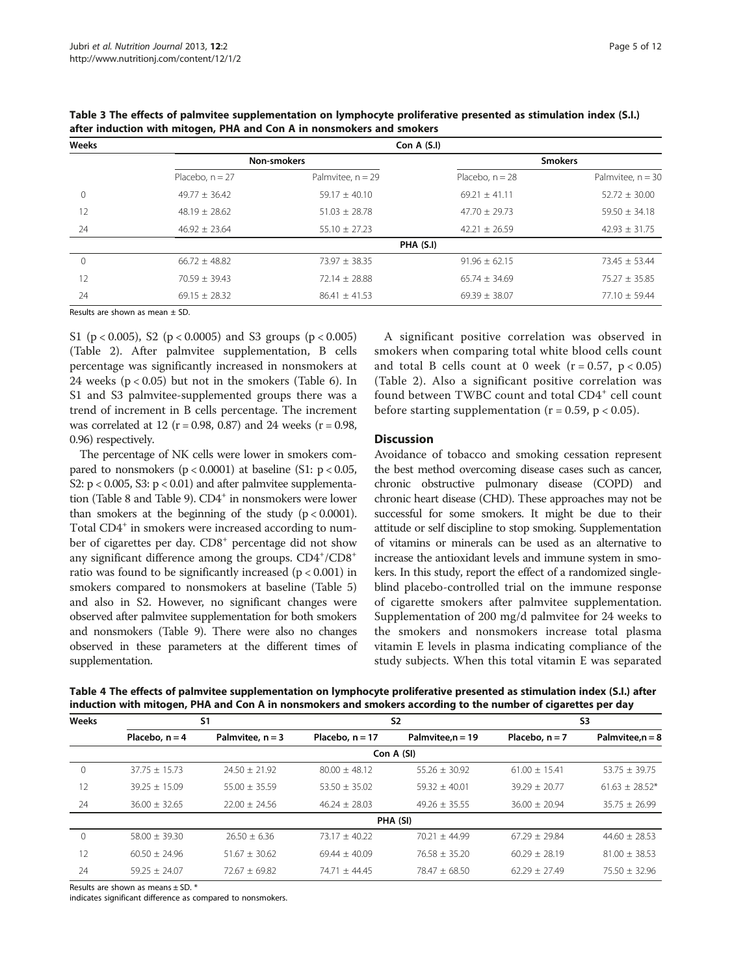| Weeks |                   |                     | Con A $(S,I)$     |                     |
|-------|-------------------|---------------------|-------------------|---------------------|
|       |                   | <b>Non-smokers</b>  |                   | <b>Smokers</b>      |
|       | Placebo, $n = 27$ | Palmvitee. $n = 29$ | Placebo, $n = 28$ | Palmvitee. $n = 30$ |
| 0     | $49.77 \pm 36.42$ | $59.17 \pm 40.10$   | $69.21 + 41.11$   | $52.72 \pm 30.00$   |
| 12    | $48.19 \pm 28.62$ | $51.03 \pm 28.78$   | $47.70 \pm 29.73$ | $59.50 \pm 34.18$   |
| 24    | $46.92 \pm 23.64$ | $55.10 \pm 27.23$   | $42.21 \pm 26.59$ | $42.93 \pm 31.75$   |
|       |                   |                     | PHA (S.I)         |                     |
| 0     | $66.72 + 48.82$   | $73.97 + 38.35$     | $91.96 \pm 62.15$ | $73.45 + 53.44$     |
| 12    | $70.59 + 39.43$   | $72.14 + 28.88$     | $65.74 + 34.69$   | $75.27 + 35.85$     |
| 24    | $69.15 \pm 28.32$ | $86.41 + 41.53$     | $69.39 \pm 38.07$ | $77.10 \pm 59.44$   |

<span id="page-4-0"></span>Table 3 The effects of palmvitee supplementation on lymphocyte proliferative presented as stimulation index (S.I.) after induction with mitogen, PHA and Con A in nonsmokers and smokers

Results are shown as mean ± SD.

S1 ( $p < 0.005$ ), S2 ( $p < 0.0005$ ) and S3 groups ( $p < 0.005$ ) (Table [2](#page-3-0)). After palmvitee supplementation, B cells percentage was significantly increased in nonsmokers at 24 weeks  $(p < 0.05)$  but not in the smokers (Table [6\)](#page-5-0). In S1 and S3 palmvitee-supplemented groups there was a trend of increment in B cells percentage. The increment was correlated at 12 ( $r = 0.98$ , 0.87) and 24 weeks ( $r = 0.98$ , 0.96) respectively.

The percentage of NK cells were lower in smokers compared to nonsmokers  $(p < 0.0001)$  at baseline (S1:  $p < 0.05$ , S2:  $p < 0.005$ , S3:  $p < 0.01$ ) and after palmvitee supplementa-tion (Table [8](#page-7-0) and Table [9](#page-8-0)). CD4<sup>+</sup> in nonsmokers were lower than smokers at the beginning of the study  $(p < 0.0001)$ . Total CD4<sup>+</sup> in smokers were increased according to number of cigarettes per day. CD8<sup>+</sup> percentage did not show any significant difference among the groups.  $CD4^+/CD8^+$ ratio was found to be significantly increased (p < 0.001) in smokers compared to nonsmokers at baseline (Table [5](#page-5-0)) and also in S2. However, no significant changes were observed after palmvitee supplementation for both smokers and nonsmokers (Table [9\)](#page-8-0). There were also no changes observed in these parameters at the different times of supplementation.

A significant positive correlation was observed in smokers when comparing total white blood cells count and total B cells count at 0 week  $(r = 0.57, p < 0.05)$ (Table [2](#page-3-0)). Also a significant positive correlation was found between TWBC count and total CD4<sup>+</sup> cell count before starting supplementation ( $r = 0.59$ ,  $p < 0.05$ ).

#### **Discussion**

Avoidance of tobacco and smoking cessation represent the best method overcoming disease cases such as cancer, chronic obstructive pulmonary disease (COPD) and chronic heart disease (CHD). These approaches may not be successful for some smokers. It might be due to their attitude or self discipline to stop smoking. Supplementation of vitamins or minerals can be used as an alternative to increase the antioxidant levels and immune system in smokers. In this study, report the effect of a randomized singleblind placebo-controlled trial on the immune response of cigarette smokers after palmvitee supplementation. Supplementation of 200 mg/d palmvitee for 24 weeks to the smokers and nonsmokers increase total plasma vitamin E levels in plasma indicating compliance of the study subjects. When this total vitamin E was separated

Table 4 The effects of palmvitee supplementation on lymphocyte proliferative presented as stimulation index (S.I.) after induction with mitogen, PHA and Con A in nonsmokers and smokers according to the number of cigarettes per day

| Weeks | S <sub>1</sub>    |                    |                   | S <sub>2</sub>      | S <sub>3</sub>    |                    |  |
|-------|-------------------|--------------------|-------------------|---------------------|-------------------|--------------------|--|
|       | Placebo, $n = 4$  | Palmvitee, $n = 3$ | Placebo, $n = 17$ | Palmvitee, $n = 19$ | Placebo, $n = 7$  | Palmvitee, $n = 8$ |  |
|       |                   |                    |                   | Con A (SI)          |                   |                    |  |
|       | $37.75 + 15.73$   | $74.50 + 71.97$    | $80.00 + 48.12$   | $55.26 + 30.92$     | $61.00 + 15.41$   | $53.75 + 39.75$    |  |
| 12    | $39.25 + 15.09$   | $55.00 + 35.59$    | $53.50 + 35.02$   | $59.32 + 40.01$     | $39.29 + 20.77$   | $61.63 + 28.52*$   |  |
| 24    | $36.00 \pm 32.65$ | $22.00 + 24.56$    | $46.24 + 28.03$   | $49.26 + 35.55$     | $36.00 + 20.94$   | $35.75 \pm 26.99$  |  |
|       |                   |                    |                   | PHA (SI)            |                   |                    |  |
|       | $58.00 + 39.30$   | $26.50 + 6.36$     | $73.17 + 40.22$   | $70.21 + 44.99$     | $67.29 \pm 29.84$ | $44.60 + 28.53$    |  |
| 12    | $60.50 + 24.96$   | $51.67 + 30.62$    | $69.44 + 40.09$   | $76.58 + 35.20$     | $60.29 + 28.19$   | $81.00 + 38.53$    |  |
| 24    | $59.25 + 24.07$   | $72.67 \pm 69.82$  | $74.71 + 44.45$   | $78.47 + 68.50$     | $62.29 + 27.49$   | $75.50 + 32.96$    |  |

Results are shown as means ± SD. \*

indicates significant difference as compared to nonsmokers.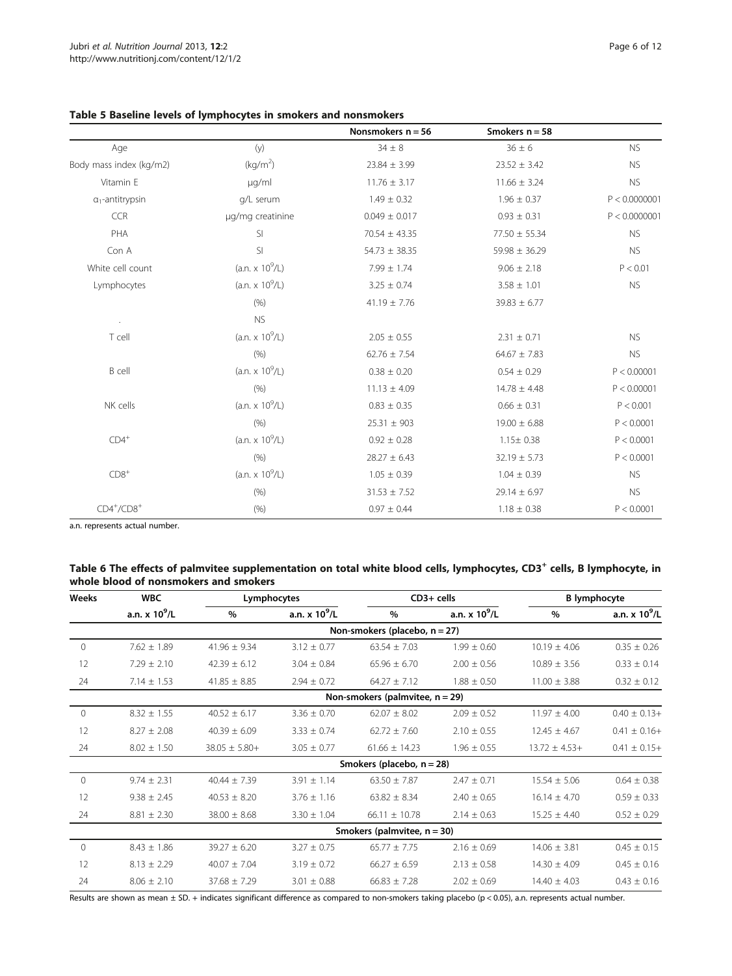|                         |                      | Nonsmokers $n = 56$ | Smokers $n = 58$  |               |
|-------------------------|----------------------|---------------------|-------------------|---------------|
| Age                     | (y)                  | $34 \pm 8$          | $36 \pm 6$        | <b>NS</b>     |
| Body mass index (kg/m2) | (kg/m <sup>2</sup> ) | $23.84 \pm 3.99$    | $23.52 \pm 3.42$  | <b>NS</b>     |
| Vitamin E               | µg/ml                | $11.76 \pm 3.17$    | $11.66 \pm 3.24$  | <b>NS</b>     |
| $\alpha_1$ -antitrypsin | g/L serum            | $1.49 \pm 0.32$     | $1.96 \pm 0.37$   | P < 0.0000001 |
| <b>CCR</b>              | µg/mg creatinine     | $0.049 \pm 0.017$   | $0.93 \pm 0.31$   | P < 0.0000001 |
| PHA                     | SI                   | $70.54 \pm 43.35$   | 77.50 ± 55.34     | <b>NS</b>     |
| Con A                   | SI                   | $54.73 \pm 38.35$   | $59.98 \pm 36.29$ | <b>NS</b>     |
| White cell count        | $(an. x 10^9/L)$     | $7.99 \pm 1.74$     | $9.06 \pm 2.18$   | P < 0.01      |
| Lymphocytes             | $(an. x 10^9/L)$     | $3.25 \pm 0.74$     | $3.58 \pm 1.01$   | <b>NS</b>     |
|                         | (9/6)                | $41.19 \pm 7.76$    | $39.83 \pm 6.77$  |               |
|                         | <b>NS</b>            |                     |                   |               |
| T cell                  | $(an. x 10^9/L)$     | $2.05 \pm 0.55$     | $2.31 \pm 0.71$   | <b>NS</b>     |
|                         | (% )                 | $62.76 \pm 7.54$    | $64.67 \pm 7.83$  | <b>NS</b>     |
| B cell                  | $(an. x 10^9/L)$     | $0.38 \pm 0.20$     | $0.54 \pm 0.29$   | P < 0.00001   |
|                         | (% )                 | $11.13 \pm 4.09$    | $14.78 \pm 4.48$  | P < 0.00001   |
| NK cells                | $(an. x 10^9/L)$     | $0.83 \pm 0.35$     | $0.66 \pm 0.31$   | P < 0.001     |
|                         | (% )                 | $25.31 \pm 903$     | $19.00 \pm 6.88$  | P < 0.0001    |
| $CD4^+$                 | $(an. x 10^9/L)$     | $0.92 \pm 0.28$     | $1.15 \pm 0.38$   | P < 0.0001    |
|                         | (% )                 | $28.27 \pm 6.43$    | $32.19 \pm 5.73$  | P < 0.0001    |
| $CD8+$                  | $(an. x 10^9/L)$     | $1.05 \pm 0.39$     | $1.04 \pm 0.39$   | <b>NS</b>     |
|                         | (% )                 | $31.53 \pm 7.52$    | $29.14 \pm 6.97$  | <b>NS</b>     |
| $CD4^+/CD8^+$           | (% )                 | $0.97 \pm 0.44$     | $1.18 \pm 0.38$   | P < 0.0001    |

<span id="page-5-0"></span>

|  | Table 5 Baseline levels of lymphocytes in smokers and nonsmokers |  |  |
|--|------------------------------------------------------------------|--|--|
|--|------------------------------------------------------------------|--|--|

a.n. represents actual number.

# Table 6 The effects of palmvitee supplementation on total white blood cells, lymphocytes, CD3<sup>+</sup> cells, B lymphocyte, in whole blood of nonsmokers and smokers

| <b>WBC</b><br>Weeks |                       | Lymphocytes       |                       | $CD3+$ cells                       |                       | <b>B</b> lymphocyte |                       |
|---------------------|-----------------------|-------------------|-----------------------|------------------------------------|-----------------------|---------------------|-----------------------|
|                     | a.n. $\times 10^9$ /L | $\%$              | a.n. $\times 10^9$ /L | $\%$                               | a.n. $\times 10^9$ /L | $\%$                | a.n. $\times 10^9$ /L |
|                     |                       |                   |                       | Non-smokers (placebo, $n = 27$ )   |                       |                     |                       |
| $\Omega$            | $7.62 \pm 1.89$       | $41.96 \pm 9.34$  | $3.12 \pm 0.77$       | $63.54 \pm 7.03$                   | $1.99 \pm 0.60$       | $10.19 \pm 4.06$    | $0.35 \pm 0.26$       |
| 12                  | $7.29 \pm 2.10$       | $42.39 \pm 6.12$  | $3.04 \pm 0.84$       | $65.96 \pm 6.70$                   | $2.00 \pm 0.56$       | $10.89 \pm 3.56$    | $0.33 \pm 0.14$       |
| 24                  | $7.14 \pm 1.53$       | $41.85 \pm 8.85$  | $2.94 \pm 0.72$       | $64.27 \pm 7.12$                   | $1.88 \pm 0.50$       | $11.00 \pm 3.88$    | $0.32 \pm 0.12$       |
|                     |                       |                   |                       | Non-smokers (palmvitee, $n = 29$ ) |                       |                     |                       |
| $\Omega$            | $8.32 \pm 1.55$       | $40.52 \pm 6.17$  | $3.36 \pm 0.70$       | $62.07 \pm 8.02$                   | $2.09 \pm 0.52$       | $11.97 \pm 4.00$    | $0.40 \pm 0.13 +$     |
| 12                  | $8.27 \pm 2.08$       | $40.39 \pm 6.09$  | $3.33 \pm 0.74$       | $62.72 \pm 7.60$                   | $2.10 \pm 0.55$       | $12.45 \pm 4.67$    | $0.41 \pm 0.16 +$     |
| 24                  | $8.02 \pm 1.50$       | $38.05 \pm 5.80+$ | $3.05 \pm 0.77$       | $61.66 + 14.23$                    | $1.96 \pm 0.55$       | $13.72 \pm 4.53+$   | $0.41 \pm 0.15+$      |
|                     |                       |                   |                       | Smokers (placebo, $n = 28$ )       |                       |                     |                       |
| $\Omega$            | $9.74 \pm 2.31$       | $40.44 \pm 7.39$  | $3.91 \pm 1.14$       | $63.50 \pm 7.87$                   | $2.47 \pm 0.71$       | $15.54 \pm 5.06$    | $0.64 \pm 0.38$       |
| 12                  | $9.38 \pm 2.45$       | $40.53 \pm 8.20$  | $3.76 \pm 1.16$       | $63.82 \pm 8.34$                   | $2.40 \pm 0.65$       | $16.14 \pm 4.70$    | $0.59 \pm 0.33$       |
| 24                  | $8.81 \pm 2.30$       | $38.00 \pm 8.68$  | $3.30 \pm 1.04$       | $66.11 \pm 10.78$                  | $2.14 \pm 0.63$       | $15.25 \pm 4.40$    | $0.52 \pm 0.29$       |
|                     |                       |                   |                       | Smokers (palmvitee, $n = 30$ )     |                       |                     |                       |
| $\mathbf{0}$        | $8.43 \pm 1.86$       | $39.27 \pm 6.20$  | $3.27 \pm 0.75$       | $65.77 + 7.75$                     | $2.16 \pm 0.69$       | $14.06 \pm 3.81$    | $0.45 \pm 0.15$       |
| 12                  | $8.13 \pm 2.29$       | $40.07 \pm 7.04$  | $3.19 \pm 0.72$       | $66.27 \pm 6.59$                   | $2.13 \pm 0.58$       | $14.30 \pm 4.09$    | $0.45 \pm 0.16$       |
| 24                  | $8.06 \pm 2.10$       | $37.68 \pm 7.29$  | $3.01 \pm 0.88$       | $66.83 \pm 7.28$                   | $2.02 \pm 0.69$       | $14.40 \pm 4.03$    | $0.43 \pm 0.16$       |

Results are shown as mean ± SD. + indicates significant difference as compared to non-smokers taking placebo (p < 0.05), a.n. represents actual number.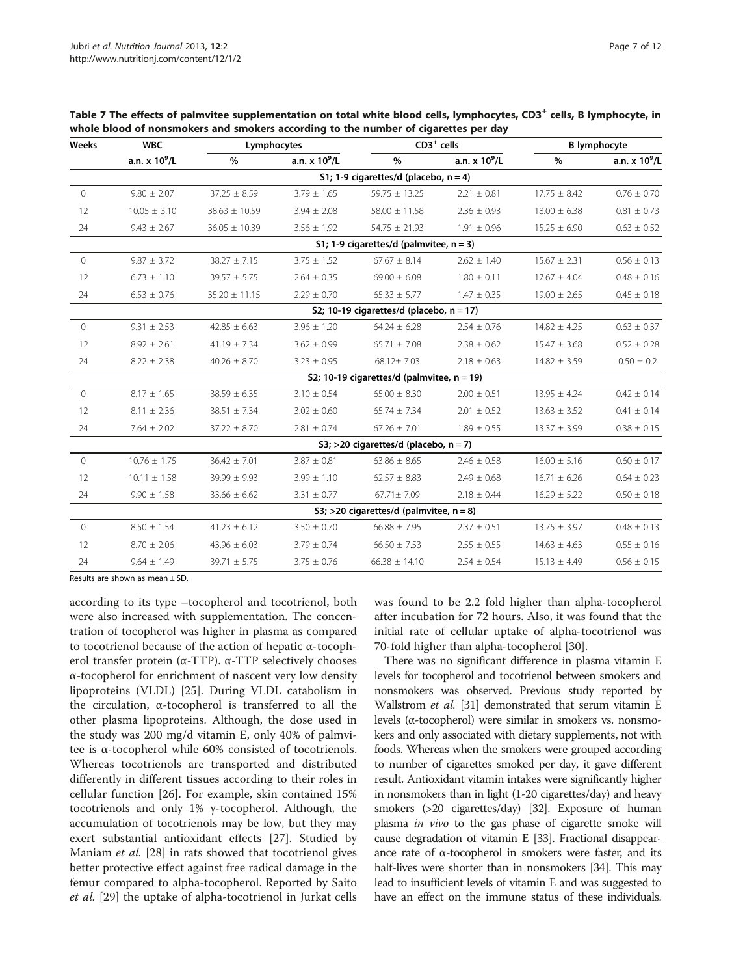| Weeks        | <b>WBC</b>               | Lymphocytes       |                 |                                               | $CD3+$ cells          |                  | <b>B</b> lymphocyte   |  |
|--------------|--------------------------|-------------------|-----------------|-----------------------------------------------|-----------------------|------------------|-----------------------|--|
|              | a.n. $\times$ 10 $^9$ /L | $\%$              | a.n. $x 10^9/L$ | %                                             | a.n. $\times 10^9$ /L | $\%$             | a.n. $\times 10^9$ /L |  |
|              |                          |                   |                 | S1; 1-9 cigarettes/d (placebo, $n = 4$ )      |                       |                  |                       |  |
| $\Omega$     | $9.80 \pm 2.07$          | $37.25 \pm 8.59$  | $3.79 \pm 1.65$ | $59.75 \pm 13.25$                             | $2.21 \pm 0.81$       | $17.75 \pm 8.42$ | $0.76 \pm 0.70$       |  |
| 12           | $10.05 \pm 3.10$         | $38.63 \pm 10.59$ | $3.94 \pm 2.08$ | $58.00 \pm 11.58$                             | $2.36 \pm 0.93$       | $18.00 \pm 6.38$ | $0.81 \pm 0.73$       |  |
| 24           | $9.43 \pm 2.67$          | $36.05 \pm 10.39$ | $3.56 \pm 1.92$ | $54.75 \pm 21.93$                             | $1.91 \pm 0.96$       | $15.25 \pm 6.90$ | $0.63 \pm 0.52$       |  |
|              |                          |                   |                 | S1; 1-9 cigarettes/d (palmvitee, $n = 3$ )    |                       |                  |                       |  |
| $\circ$      | $9.87 \pm 3.72$          | $38.27 \pm 7.15$  | $3.75 \pm 1.52$ | $67.67 \pm 8.14$                              | $2.62 \pm 1.40$       | $15.67 \pm 2.31$ | $0.56 \pm 0.13$       |  |
| 12           | $6.73 \pm 1.10$          | $39.57 \pm 5.75$  | $2.64 \pm 0.35$ | $69.00 \pm 6.08$                              | $1.80 \pm 0.11$       | $17.67 \pm 4.04$ | $0.48 \pm 0.16$       |  |
| 24           | $6.53 \pm 0.76$          | $35.20 \pm 11.15$ | $2.29 \pm 0.70$ | $65.33 \pm 5.77$                              | $1.47 \pm 0.35$       | $19.00 \pm 2.65$ | $0.45 \pm 0.18$       |  |
|              |                          |                   |                 | S2; 10-19 cigarettes/d (placebo, $n = 17$ )   |                       |                  |                       |  |
| $\Omega$     | $9.31 \pm 2.53$          | $42.85 \pm 6.63$  | $3.96 \pm 1.20$ | $64.24 \pm 6.28$                              | $2.54 \pm 0.76$       | $14.82 \pm 4.25$ | $0.63 \pm 0.37$       |  |
| 12           | $8.92 \pm 2.61$          | $41.19 \pm 7.34$  | $3.62 \pm 0.99$ | $65.71 \pm 7.08$                              | $2.38 \pm 0.62$       | $15.47 \pm 3.68$ | $0.52 \pm 0.28$       |  |
| 24           | $8.22 \pm 2.38$          | $40.26 \pm 8.70$  | $3.23 \pm 0.95$ | 68.12±7.03                                    | $2.18 \pm 0.63$       | $14.82 \pm 3.59$ | $0.50 \pm 0.2$        |  |
|              |                          |                   |                 | S2; 10-19 cigarettes/d (palmvitee, $n = 19$ ) |                       |                  |                       |  |
| $\Omega$     | $8.17 \pm 1.65$          | $38.59 \pm 6.35$  | $3.10 \pm 0.54$ | $65.00 \pm 8.30$                              | $2.00 \pm 0.51$       | $13.95 \pm 4.24$ | $0.42 \pm 0.14$       |  |
| 12           | $8.11 \pm 2.36$          | $38.51 \pm 7.34$  | $3.02 \pm 0.60$ | $65.74 \pm 7.34$                              | $2.01 \pm 0.52$       | $13.63 \pm 3.52$ | $0.41 \pm 0.14$       |  |
| 24           | $7.64 \pm 2.02$          | $37.22 \pm 8.70$  | $2.81 \pm 0.74$ | $67.26 \pm 7.01$                              | $1.89 \pm 0.55$       | $13.37 \pm 3.99$ | $0.38 \pm 0.15$       |  |
|              |                          |                   |                 | S3; >20 cigarettes/d (placebo, $n = 7$ )      |                       |                  |                       |  |
| $\mathbf{0}$ | $10.76 \pm 1.75$         | $36.42 \pm 7.01$  | $3.87 \pm 0.81$ | $63.86 \pm 8.65$                              | $2.46 \pm 0.58$       | $16.00 \pm 5.16$ | $0.60 \pm 0.17$       |  |
| 12           | $10.11 \pm 1.58$         | $39.99 \pm 9.93$  | $3.99 \pm 1.10$ | $62.57 \pm 8.83$                              | $2.49 \pm 0.68$       | $16.71 \pm 6.26$ | $0.64 \pm 0.23$       |  |
| 24           | $9.90 \pm 1.58$          | $33.66 \pm 6.62$  | $3.31 \pm 0.77$ | 67.71±7.09                                    | $2.18 \pm 0.44$       | $16.29 \pm 5.22$ | $0.50 \pm 0.18$       |  |
|              |                          |                   |                 | S3; >20 cigarettes/d (palmvitee, $n = 8$ )    |                       |                  |                       |  |
| $\circ$      | $8.50 \pm 1.54$          | $41.23 \pm 6.12$  | $3.50 \pm 0.70$ | $66.88 \pm 7.95$                              | $2.37 \pm 0.51$       | $13.75 \pm 3.97$ | $0.48 \pm 0.13$       |  |
| 12           | $8.70 \pm 2.06$          | $43.96 \pm 6.03$  | $3.79 \pm 0.74$ | $66.50 \pm 7.53$                              | $2.55 \pm 0.55$       | $14.63 \pm 4.63$ | $0.55 \pm 0.16$       |  |
| 24           | $9.64 \pm 1.49$          | $39.71 \pm 5.75$  | $3.75 \pm 0.76$ | $66.38 \pm 14.10$                             | $2.54 \pm 0.54$       | $15.13 \pm 4.49$ | $0.56 \pm 0.15$       |  |

<span id="page-6-0"></span>Table 7 The effects of palmvitee supplementation on total white blood cells, lymphocytes, CD3<sup>+</sup> cells, B lymphocyte, in whole blood of nonsmokers and smokers according to the number of cigarettes per day

Results are shown as mean ± SD.

according to its type –tocopherol and tocotrienol, both were also increased with supplementation. The concentration of tocopherol was higher in plasma as compared to tocotrienol because of the action of hepatic α-tocopherol transfer protein (α-TTP). α-TTP selectively chooses α-tocopherol for enrichment of nascent very low density lipoproteins (VLDL) [\[25](#page-10-0)]. During VLDL catabolism in the circulation, α-tocopherol is transferred to all the other plasma lipoproteins. Although, the dose used in the study was 200 mg/d vitamin E, only 40% of palmvitee is α-tocopherol while 60% consisted of tocotrienols. Whereas tocotrienols are transported and distributed differently in different tissues according to their roles in cellular function [\[26](#page-10-0)]. For example, skin contained 15% tocotrienols and only 1% γ-tocopherol. Although, the accumulation of tocotrienols may be low, but they may exert substantial antioxidant effects [\[27](#page-10-0)]. Studied by Maniam et al. [[28\]](#page-10-0) in rats showed that tocotrienol gives better protective effect against free radical damage in the femur compared to alpha-tocopherol. Reported by Saito et al. [\[29](#page-10-0)] the uptake of alpha-tocotrienol in Jurkat cells was found to be 2.2 fold higher than alpha-tocopherol after incubation for 72 hours. Also, it was found that the initial rate of cellular uptake of alpha-tocotrienol was 70-fold higher than alpha-tocopherol [\[30](#page-10-0)].

There was no significant difference in plasma vitamin E levels for tocopherol and tocotrienol between smokers and nonsmokers was observed. Previous study reported by Wallstrom et al. [[31](#page-10-0)] demonstrated that serum vitamin E levels (α-tocopherol) were similar in smokers vs. nonsmokers and only associated with dietary supplements, not with foods. Whereas when the smokers were grouped according to number of cigarettes smoked per day, it gave different result. Antioxidant vitamin intakes were significantly higher in nonsmokers than in light (1-20 cigarettes/day) and heavy smokers (>20 cigarettes/day) [\[32\]](#page-10-0). Exposure of human plasma in vivo to the gas phase of cigarette smoke will cause degradation of vitamin E [\[33\]](#page-10-0). Fractional disappearance rate of α-tocopherol in smokers were faster, and its half-lives were shorter than in nonsmokers [\[34\]](#page-10-0). This may lead to insufficient levels of vitamin E and was suggested to have an effect on the immune status of these individuals.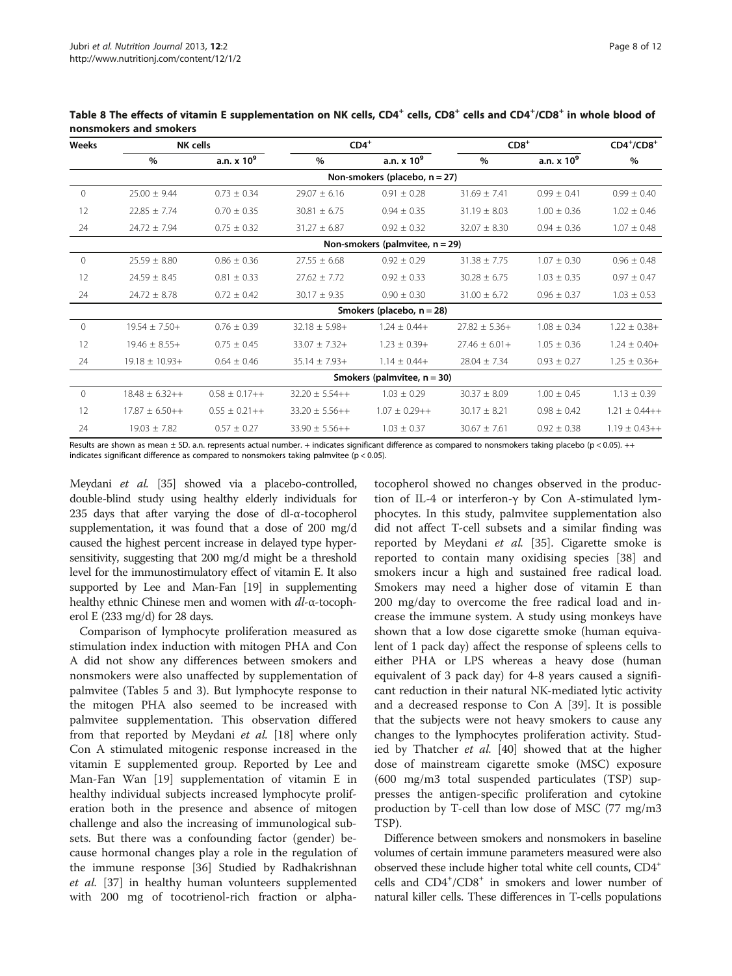| Weeks        | NK cells           |                       | $CD4+$             |                                    | $CD8+$            |                    | $CD4^+/CD8^+$     |
|--------------|--------------------|-----------------------|--------------------|------------------------------------|-------------------|--------------------|-------------------|
|              | $\%$               | a.n. $\times$ 10 $^9$ | $\%$               | a.n. $\times$ 10 $^9$              | $\frac{0}{0}$     | a.n. $\times 10^9$ | $\%$              |
|              |                    |                       |                    | Non-smokers (placebo, $n = 27$ )   |                   |                    |                   |
| $\mathbf{0}$ | $25.00 \pm 9.44$   | $0.73 \pm 0.34$       | $29.07 \pm 6.16$   | $0.91 \pm 0.28$                    | $31.69 \pm 7.41$  | $0.99 \pm 0.41$    | $0.99 \pm 0.40$   |
| 12           | $22.85 \pm 7.74$   | $0.70 \pm 0.35$       | $30.81 \pm 6.75$   | $0.94 \pm 0.35$                    | $31.19 \pm 8.03$  | $1.00 \pm 0.36$    | $1.02 \pm 0.46$   |
| 24           | $24.72 \pm 7.94$   | $0.75 \pm 0.32$       | $31.27 \pm 6.87$   | $0.92 \pm 0.32$                    | $32.07 \pm 8.30$  | $0.94 \pm 0.36$    | $1.07 \pm 0.48$   |
|              |                    |                       |                    | Non-smokers (palmvitee, $n = 29$ ) |                   |                    |                   |
| $\Omega$     | $25.59 \pm 8.80$   | $0.86 \pm 0.36$       | $27.55 \pm 6.68$   | $0.92 \pm 0.29$                    | $31.38 \pm 7.75$  | $1.07 \pm 0.30$    | $0.96 \pm 0.48$   |
| 12           | $24.59 \pm 8.45$   | $0.81 \pm 0.33$       | $27.62 \pm 7.72$   | $0.92 \pm 0.33$                    | $30.28 \pm 6.75$  | $1.03 \pm 0.35$    | $0.97 \pm 0.47$   |
| 24           | $24.72 \pm 8.78$   | $0.72 \pm 0.42$       | $30.17 \pm 9.35$   | $0.90 \pm 0.30$                    | $31.00 \pm 6.72$  | $0.96 \pm 0.37$    | $1.03 \pm 0.53$   |
|              |                    |                       |                    | Smokers (placebo, $n = 28$ )       |                   |                    |                   |
| $\mathbf{0}$ | $19.54 \pm 7.50+$  | $0.76 \pm 0.39$       | $32.18 \pm 5.98 +$ | $1.24 \pm 0.44+$                   | $27.82 \pm 5.36+$ | $1.08 \pm 0.34$    | $1.22 \pm 0.38 +$ |
| 12           | $19.46 \pm 8.55+$  | $0.75 \pm 0.45$       | $33.07 \pm 7.32 +$ | $1.23 \pm 0.39+$                   | $27.46 \pm 6.01+$ | $1.05 \pm 0.36$    | $1.24 \pm 0.40+$  |
| 24           | $19.18 \pm 10.93+$ | $0.64 \pm 0.46$       | $35.14 \pm 7.93 +$ | $1.14 \pm 0.44+$                   | $28.04 \pm 7.34$  | $0.93 \pm 0.27$    | $1.25 \pm 0.36+$  |
|              |                    |                       |                    | Smokers (palmvitee, $n = 30$ )     |                   |                    |                   |
| $\Omega$     | $18.48 \pm 6.32++$ | $0.58 \pm 0.17++$     | $32.20 \pm 5.54++$ | $1.03 \pm 0.29$                    | $30.37 \pm 8.09$  | $1.00 \pm 0.45$    | $1.13 \pm 0.39$   |
| 12           | $17.87 \pm 6.50++$ | $0.55 \pm 0.21++$     | $33.20 \pm 5.56++$ | $1.07 \pm 0.29++$                  | $30.17 \pm 8.21$  | $0.98 \pm 0.42$    | $1.21 \pm 0.44++$ |
| 24           | $19.03 \pm 7.82$   | $0.57 \pm 0.27$       | $33.90 \pm 5.56++$ | $1.03 \pm 0.37$                    | $30.67 \pm 7.61$  | $0.92 \pm 0.38$    | $1.19 \pm 0.43++$ |

<span id="page-7-0"></span>Table 8 The effects of vitamin E supplementation on NK cells, CD4<sup>+</sup> cells, CD8<sup>+</sup> cells and CD4<sup>+</sup>/CD8<sup>+</sup> in whole blood of nonsmokers and smokers

Results are shown as mean ± SD. a.n. represents actual number. + indicates significant difference as compared to nonsmokers taking placebo (p < 0.05). ++ indicates significant difference as compared to nonsmokers taking palmvitee ( $p < 0.05$ ).

Meydani et al. [\[35](#page-10-0)] showed via a placebo-controlled, double-blind study using healthy elderly individuals for 235 days that after varying the dose of dl-α-tocopherol supplementation, it was found that a dose of 200 mg/d caused the highest percent increase in delayed type hypersensitivity, suggesting that 200 mg/d might be a threshold level for the immunostimulatory effect of vitamin E. It also supported by Lee and Man-Fan [\[19](#page-10-0)] in supplementing healthy ethnic Chinese men and women with dl-α-tocopherol E (233 mg/d) for 28 days.

Comparison of lymphocyte proliferation measured as stimulation index induction with mitogen PHA and Con A did not show any differences between smokers and nonsmokers were also unaffected by supplementation of palmvitee (Tables [5](#page-5-0) and [3\)](#page-4-0). But lymphocyte response to the mitogen PHA also seemed to be increased with palmvitee supplementation. This observation differed from that reported by Meydani et al. [\[18\]](#page-10-0) where only Con A stimulated mitogenic response increased in the vitamin E supplemented group. Reported by Lee and Man-Fan Wan [\[19](#page-10-0)] supplementation of vitamin E in healthy individual subjects increased lymphocyte proliferation both in the presence and absence of mitogen challenge and also the increasing of immunological subsets. But there was a confounding factor (gender) because hormonal changes play a role in the regulation of the immune response [\[36](#page-10-0)] Studied by Radhakrishnan et al. [\[37\]](#page-10-0) in healthy human volunteers supplemented with 200 mg of tocotrienol-rich fraction or alphatocopherol showed no changes observed in the production of IL-4 or interferon-γ by Con A-stimulated lymphocytes. In this study, palmvitee supplementation also did not affect T-cell subsets and a similar finding was reported by Meydani et al. [\[35](#page-10-0)]. Cigarette smoke is reported to contain many oxidising species [[38](#page-10-0)] and smokers incur a high and sustained free radical load. Smokers may need a higher dose of vitamin E than 200 mg/day to overcome the free radical load and increase the immune system. A study using monkeys have shown that a low dose cigarette smoke (human equivalent of 1 pack day) affect the response of spleens cells to either PHA or LPS whereas a heavy dose (human equivalent of 3 pack day) for 4-8 years caused a significant reduction in their natural NK-mediated lytic activity and a decreased response to Con A [\[39](#page-10-0)]. It is possible that the subjects were not heavy smokers to cause any changes to the lymphocytes proliferation activity. Studied by Thatcher *et al.* [\[40](#page-10-0)] showed that at the higher dose of mainstream cigarette smoke (MSC) exposure (600 mg/m3 total suspended particulates (TSP) suppresses the antigen-specific proliferation and cytokine production by T-cell than low dose of MSC (77 mg/m3 TSP).

Difference between smokers and nonsmokers in baseline volumes of certain immune parameters measured were also observed these include higher total white cell counts, CD4+ cells and CD4+ /CD8+ in smokers and lower number of natural killer cells. These differences in T-cells populations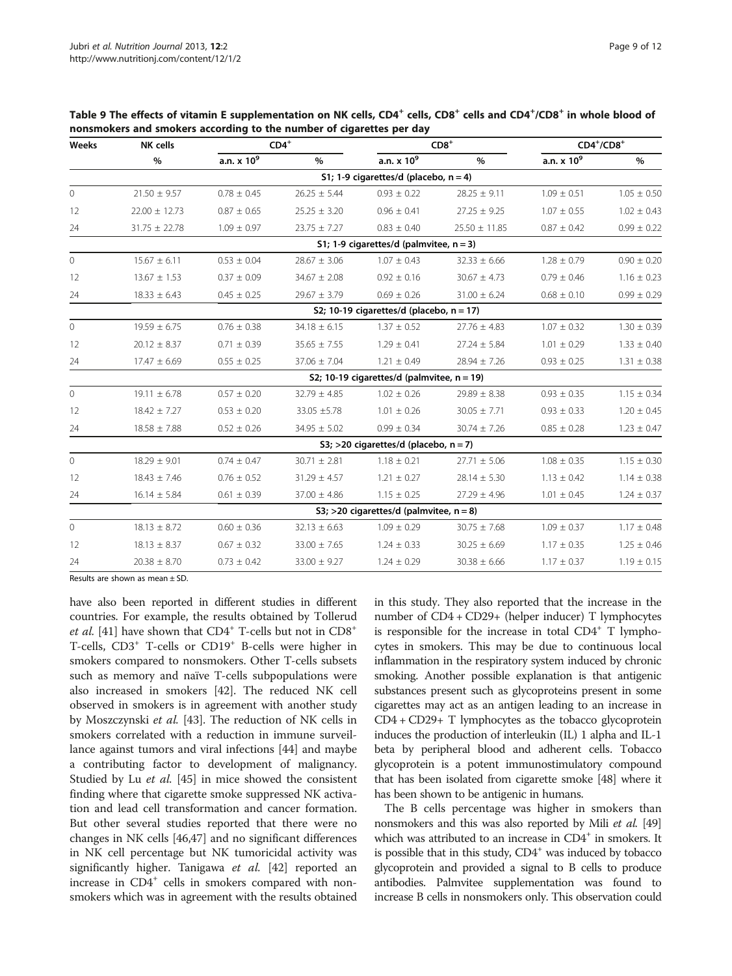| Weeks          | <b>NK cells</b>   |                 | $\mathsf{CD4}^+$ |                                               | $CD8+$            |                        | $CD4^+/CD8^+$   |  |
|----------------|-------------------|-----------------|------------------|-----------------------------------------------|-------------------|------------------------|-----------------|--|
|                | $\%$              | a.n. $x 10^9$   | %                | a.n. $\times 10^9$                            | $\%$              | a.n. x 10 <sup>9</sup> | %               |  |
|                |                   |                 |                  | S1; 1-9 cigarettes/d (placebo, $n = 4$ )      |                   |                        |                 |  |
| $\circ$        | $21.50 \pm 9.57$  | $0.78 \pm 0.45$ | $26.25 \pm 5.44$ | $0.93 \pm 0.22$                               | $28.25 \pm 9.11$  | $1.09 \pm 0.51$        | $1.05 \pm 0.50$ |  |
| 12             | $22.00 \pm 12.73$ | $0.87 \pm 0.65$ | $25.25 \pm 3.20$ | $0.96 \pm 0.41$                               | $27.25 \pm 9.25$  | $1.07 \pm 0.55$        | $1.02 \pm 0.43$ |  |
| 24             | $31.75 \pm 22.78$ | $1.09 \pm 0.97$ | $23.75 \pm 7.27$ | $0.83 \pm 0.40$                               | $25.50 \pm 11.85$ | $0.87 \pm 0.42$        | $0.99 \pm 0.22$ |  |
|                |                   |                 |                  | S1; 1-9 cigarettes/d (palmvitee, $n = 3$ )    |                   |                        |                 |  |
| $\overline{0}$ | $15.67 \pm 6.11$  | $0.53 \pm 0.04$ | $28.67 \pm 3.06$ | $1.07 \pm 0.43$                               | $32.33 \pm 6.66$  | $1.28 \pm 0.79$        | $0.90 \pm 0.20$ |  |
| 12             | $13.67 \pm 1.53$  | $0.37 \pm 0.09$ | $34.67 \pm 2.08$ | $0.92 \pm 0.16$                               | $30.67 \pm 4.73$  | $0.79 \pm 0.46$        | $1.16 \pm 0.23$ |  |
| 24             | $18.33 \pm 6.43$  | $0.45 \pm 0.25$ | $29.67 \pm 3.79$ | $0.69 \pm 0.26$                               | $31.00 \pm 6.24$  | $0.68 \pm 0.10$        | $0.99 \pm 0.29$ |  |
|                |                   |                 |                  | S2; 10-19 cigarettes/d (placebo, $n = 17$ )   |                   |                        |                 |  |
| $\circ$        | $19.59 \pm 6.75$  | $0.76 \pm 0.38$ | $34.18 \pm 6.15$ | $1.37 \pm 0.52$                               | $27.76 \pm 4.83$  | $1.07 \pm 0.32$        | $1.30 \pm 0.39$ |  |
| 12             | $20.12 \pm 8.37$  | $0.71 \pm 0.39$ | $35.65 \pm 7.55$ | $1.29 \pm 0.41$                               | $27.24 \pm 5.84$  | $1.01 \pm 0.29$        | $1.33 \pm 0.40$ |  |
| 24             | $17.47 \pm 6.69$  | $0.55 \pm 0.25$ | $37.06 \pm 7.04$ | $1.21 \pm 0.49$                               | $28.94 \pm 7.26$  | $0.93 \pm 0.25$        | $1.31 \pm 0.38$ |  |
|                |                   |                 |                  | S2; 10-19 cigarettes/d (palmvitee, $n = 19$ ) |                   |                        |                 |  |
| $\circ$        | $19.11 \pm 6.78$  | $0.57 \pm 0.20$ | $32.79 \pm 4.85$ | $1.02 \pm 0.26$                               | $29.89 \pm 8.38$  | $0.93 \pm 0.35$        | $1.15 \pm 0.34$ |  |
| 12             | $18.42 \pm 7.27$  | $0.53 \pm 0.20$ | $33.05 + 5.78$   | $1.01 \pm 0.26$                               | $30.05 \pm 7.71$  | $0.93 \pm 0.33$        | $1.20 \pm 0.45$ |  |
| 24             | $18.58 \pm 7.88$  | $0.52 \pm 0.26$ | $34.95 \pm 5.02$ | $0.99 \pm 0.34$                               | $30.74 \pm 7.26$  | $0.85 \pm 0.28$        | $1.23 \pm 0.47$ |  |
|                |                   |                 |                  | S3; >20 cigarettes/d (placebo, $n = 7$ )      |                   |                        |                 |  |
| $\overline{0}$ | $18.29 \pm 9.01$  | $0.74 \pm 0.47$ | $30.71 \pm 2.81$ | $1.18 \pm 0.21$                               | $27.71 \pm 5.06$  | $1.08 \pm 0.35$        | $1.15 \pm 0.30$ |  |
| 12             | $18.43 \pm 7.46$  | $0.76 \pm 0.52$ | $31.29 \pm 4.57$ | $1.21 \pm 0.27$                               | $28.14 \pm 5.30$  | $1.13 \pm 0.42$        | $1.14 \pm 0.38$ |  |
| 24             | $16.14 \pm 5.84$  | $0.61 \pm 0.39$ | $37.00 \pm 4.86$ | $1.15 \pm 0.25$                               | $27.29 \pm 4.96$  | $1.01 \pm 0.45$        | $1.24 \pm 0.37$ |  |
|                |                   |                 |                  | S3; >20 cigarettes/d (palmvitee, $n = 8$ )    |                   |                        |                 |  |
| $\circ$        | $18.13 \pm 8.72$  | $0.60 \pm 0.36$ | $32.13 \pm 6.63$ | $1.09 \pm 0.29$                               | $30.75 \pm 7.68$  | $1.09 \pm 0.37$        | $1.17 \pm 0.48$ |  |
| 12             | $18.13 \pm 8.37$  | $0.67 \pm 0.32$ | $33.00 \pm 7.65$ | $1.24 \pm 0.33$                               | $30.25 \pm 6.69$  | $1.17 \pm 0.35$        | $1.25 \pm 0.46$ |  |
| 24             | $20.38 \pm 8.70$  | $0.73 \pm 0.42$ | $33.00 \pm 9.27$ | $1.24 \pm 0.29$                               | $30.38 \pm 6.66$  | $1.17 \pm 0.37$        | $1.19 \pm 0.15$ |  |

<span id="page-8-0"></span>Table 9 The effects of vitamin E supplementation on NK cells, CD4<sup>+</sup> cells, CD8<sup>+</sup> cells and CD4<sup>+</sup>/CD8<sup>+</sup> in whole blood of nonsmokers and smokers according to the number of cigarettes per day

Results are shown as mean ± SD.

have also been reported in different studies in different countries. For example, the results obtained by Tollerud et al. [\[41\]](#page-10-0) have shown that  $CD4^+$  T-cells but not in  $CD8^+$ T-cells, CD3+ T-cells or CD19+ B-cells were higher in smokers compared to nonsmokers. Other T-cells subsets such as memory and naïve T-cells subpopulations were also increased in smokers [\[42](#page-10-0)]. The reduced NK cell observed in smokers is in agreement with another study by Moszczynski et al. [\[43](#page-10-0)]. The reduction of NK cells in smokers correlated with a reduction in immune surveillance against tumors and viral infections [[44](#page-10-0)] and maybe a contributing factor to development of malignancy. Studied by Lu et al. [\[45\]](#page-10-0) in mice showed the consistent finding where that cigarette smoke suppressed NK activation and lead cell transformation and cancer formation. But other several studies reported that there were no changes in NK cells [\[46,47](#page-11-0)] and no significant differences in NK cell percentage but NK tumoricidal activity was significantly higher. Tanigawa et al. [\[42](#page-10-0)] reported an increase in  $CD4^+$  cells in smokers compared with nonsmokers which was in agreement with the results obtained

in this study. They also reported that the increase in the number of CD4 + CD29+ (helper inducer) T lymphocytes is responsible for the increase in total  $CD4^+$  T lymphocytes in smokers. This may be due to continuous local inflammation in the respiratory system induced by chronic smoking. Another possible explanation is that antigenic substances present such as glycoproteins present in some cigarettes may act as an antigen leading to an increase in CD4 + CD29+ T lymphocytes as the tobacco glycoprotein induces the production of interleukin (IL) 1 alpha and IL-1 beta by peripheral blood and adherent cells. Tobacco glycoprotein is a potent immunostimulatory compound that has been isolated from cigarette smoke [\[48\]](#page-11-0) where it has been shown to be antigenic in humans.

The B cells percentage was higher in smokers than nonsmokers and this was also reported by Mili et al. [\[49](#page-11-0)] which was attributed to an increase in  $CD4^+$  in smokers. It is possible that in this study,  $CD4^+$  was induced by tobacco glycoprotein and provided a signal to B cells to produce antibodies. Palmvitee supplementation was found to increase B cells in nonsmokers only. This observation could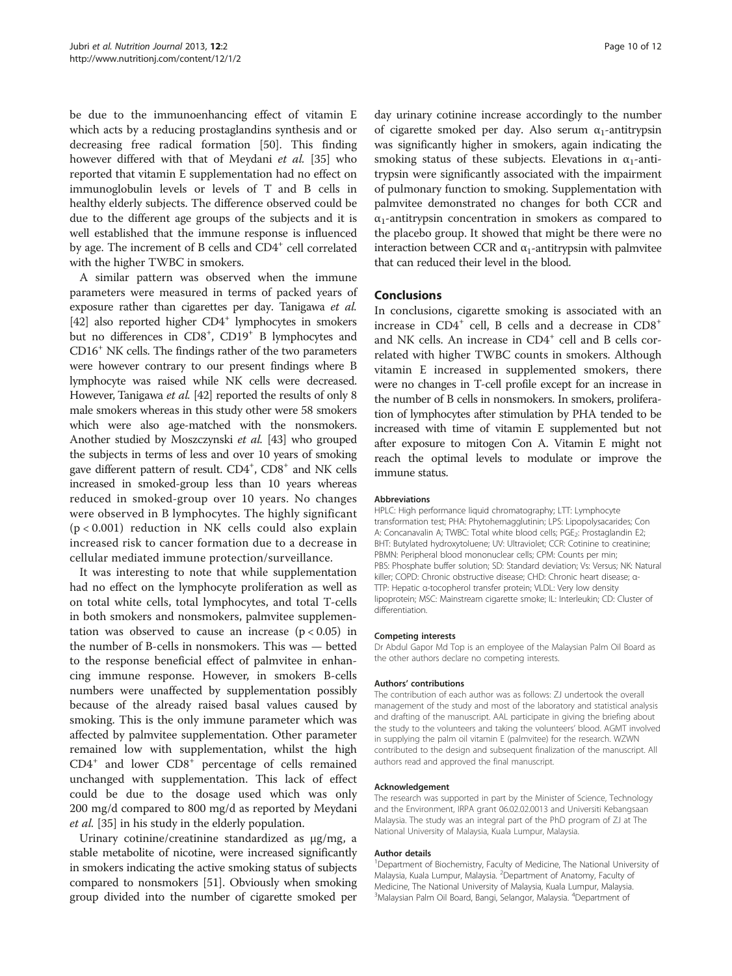be due to the immunoenhancing effect of vitamin E which acts by a reducing prostaglandins synthesis and or decreasing free radical formation [\[50](#page-11-0)]. This finding however differed with that of Meydani et al. [[35\]](#page-10-0) who reported that vitamin E supplementation had no effect on immunoglobulin levels or levels of T and B cells in healthy elderly subjects. The difference observed could be due to the different age groups of the subjects and it is well established that the immune response is influenced by age. The increment of B cells and CD4<sup>+</sup> cell correlated with the higher TWBC in smokers.

A similar pattern was observed when the immune parameters were measured in terms of packed years of exposure rather than cigarettes per day. Tanigawa et al. [[42](#page-10-0)] also reported higher CD4<sup>+</sup> lymphocytes in smokers but no differences in CD8<sup>+</sup>, CD19<sup>+</sup> B lymphocytes and CD16+ NK cells. The findings rather of the two parameters were however contrary to our present findings where B lymphocyte was raised while NK cells were decreased. However, Tanigawa et al. [[42](#page-10-0)] reported the results of only 8 male smokers whereas in this study other were 58 smokers which were also age-matched with the nonsmokers. Another studied by Moszczynski et al. [[43](#page-10-0)] who grouped the subjects in terms of less and over 10 years of smoking gave different pattern of result. CD4<sup>+</sup>, CD8<sup>+</sup> and NK cells increased in smoked-group less than 10 years whereas reduced in smoked-group over 10 years. No changes were observed in B lymphocytes. The highly significant (p < 0.001) reduction in NK cells could also explain increased risk to cancer formation due to a decrease in cellular mediated immune protection/surveillance.

It was interesting to note that while supplementation had no effect on the lymphocyte proliferation as well as on total white cells, total lymphocytes, and total T-cells in both smokers and nonsmokers, palmvitee supplementation was observed to cause an increase  $(p < 0.05)$  in the number of B-cells in nonsmokers. This was — betted to the response beneficial effect of palmvitee in enhancing immune response. However, in smokers B-cells numbers were unaffected by supplementation possibly because of the already raised basal values caused by smoking. This is the only immune parameter which was affected by palmvitee supplementation. Other parameter remained low with supplementation, whilst the high  $CD4<sup>+</sup>$  and lower  $CD8<sup>+</sup>$  percentage of cells remained unchanged with supplementation. This lack of effect could be due to the dosage used which was only 200 mg/d compared to 800 mg/d as reported by Meydani et al. [\[35](#page-10-0)] in his study in the elderly population.

Urinary cotinine/creatinine standardized as μg/mg, a stable metabolite of nicotine, were increased significantly in smokers indicating the active smoking status of subjects compared to nonsmokers [\[51\]](#page-11-0). Obviously when smoking group divided into the number of cigarette smoked per day urinary cotinine increase accordingly to the number of cigarette smoked per day. Also serum  $\alpha_1$ -antitrypsin was significantly higher in smokers, again indicating the smoking status of these subjects. Elevations in  $\alpha_1$ -antitrypsin were significantly associated with the impairment of pulmonary function to smoking. Supplementation with palmvitee demonstrated no changes for both CCR and  $\alpha_1$ -antitrypsin concentration in smokers as compared to the placebo group. It showed that might be there were no interaction between CCR and  $\alpha_1$ -antitrypsin with palmvitee that can reduced their level in the blood.

#### Conclusions

In conclusions, cigarette smoking is associated with an increase in CD4<sup>+</sup> cell, B cells and a decrease in CD8<sup>+</sup> and NK cells. An increase in CD4<sup>+</sup> cell and B cells correlated with higher TWBC counts in smokers. Although vitamin E increased in supplemented smokers, there were no changes in T-cell profile except for an increase in the number of B cells in nonsmokers. In smokers, proliferation of lymphocytes after stimulation by PHA tended to be increased with time of vitamin E supplemented but not after exposure to mitogen Con A. Vitamin E might not reach the optimal levels to modulate or improve the immune status.

#### Abbreviations

HPLC: High performance liquid chromatography; LTT: Lymphocyte transformation test; PHA: Phytohemagglutinin; LPS: Lipopolysacarides; Con A: Concanavalin A; TWBC: Total white blood cells; PGE<sub>2</sub>: Prostaglandin E2; BHT: Butylated hydroxytoluene; UV: Ultraviolet; CCR: Cotinine to creatinine; PBMN: Peripheral blood mononuclear cells; CPM: Counts per min; PBS: Phosphate buffer solution; SD: Standard deviation; Vs: Versus; NK: Natural killer; COPD: Chronic obstructive disease; CHD: Chronic heart disease; α-TTP: Hepatic α-tocopherol transfer protein; VLDL: Very low density lipoprotein; MSC: Mainstream cigarette smoke; IL: Interleukin; CD: Cluster of differentiation.

#### Competing interests

Dr Abdul Gapor Md Top is an employee of the Malaysian Palm Oil Board as the other authors declare no competing interests.

#### Authors' contributions

The contribution of each author was as follows: ZJ undertook the overall management of the study and most of the laboratory and statistical analysis and drafting of the manuscript. AAL participate in giving the briefing about the study to the volunteers and taking the volunteers' blood. AGMT involved in supplying the palm oil vitamin E (palmvitee) for the research. WZWN contributed to the design and subsequent finalization of the manuscript. All authors read and approved the final manuscript.

#### Acknowledgement

The research was supported in part by the Minister of Science, Technology and the Environment, IRPA grant 06.02.02.0013 and Universiti Kebangsaan Malaysia. The study was an integral part of the PhD program of ZJ at The National University of Malaysia, Kuala Lumpur, Malaysia.

#### Author details

<sup>1</sup>Department of Biochemistry, Faculty of Medicine, The National University of Malaysia, Kuala Lumpur, Malaysia. <sup>2</sup>Department of Anatomy, Faculty of Medicine, The National University of Malaysia, Kuala Lumpur, Malaysia. <sup>3</sup>Malaysian Palm Oil Board, Bangi, Selangor, Malaysia. <sup>4</sup>Department of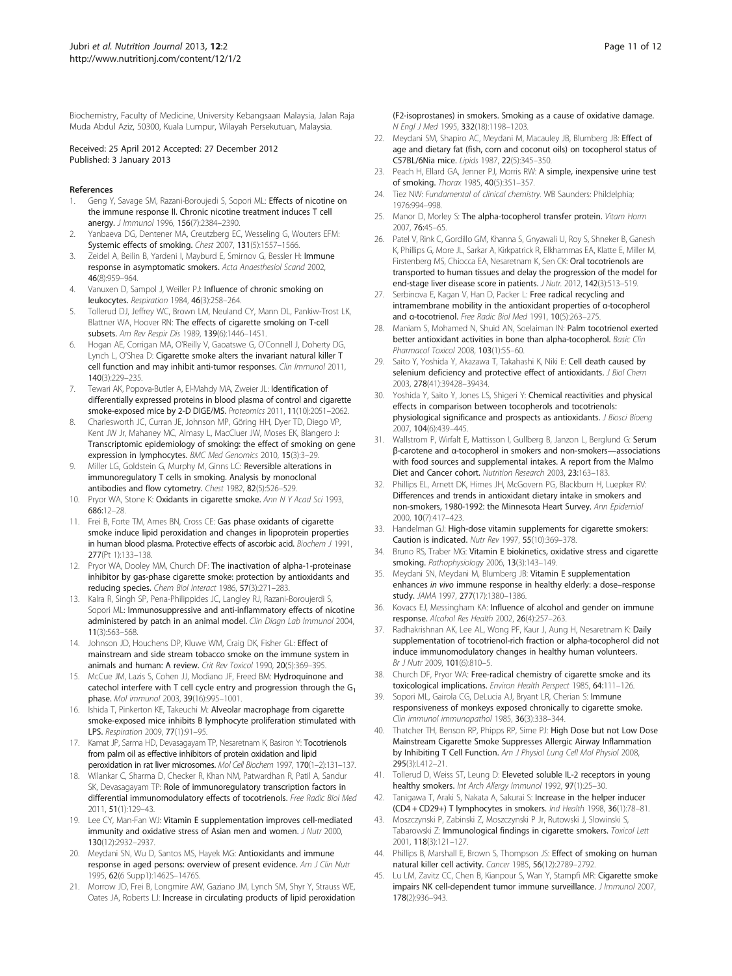<span id="page-10-0"></span>Biochemistry, Faculty of Medicine, University Kebangsaan Malaysia, Jalan Raja Muda Abdul Aziz, 50300, Kuala Lumpur, Wilayah Persekutuan, Malaysia.

#### Received: 25 April 2012 Accepted: 27 December 2012 Published: 3 January 2013

#### References

- Geng Y, Savage SM, Razani-Boroujedi S, Sopori ML: Effects of nicotine on the immune response II. Chronic nicotine treatment induces T cell anergy. J Immunol 1996, 156(7):2384–2390.
- 2. Yanbaeva DG, Dentener MA, Creutzberg EC, Wesseling G, Wouters EFM: Systemic effects of smoking. Chest 2007, 131(5):1557–1566.
- 3. Zeidel A, Beilin B, Yardeni I, Mayburd E, Smirnov G, Bessler H: Immune response in asymptomatic smokers. Acta Anaesthesiol Scand 2002, 46(8):959–964.
- 4. Vanuxen D, Sampol J, Weiller PJ: Influence of chronic smoking on leukocytes. Respiration 1984, 46(3):258–264.
- 5. Tollerud DJ, Jeffrey WC, Brown LM, Neuland CY, Mann DL, Pankiw-Trost LK, Blattner WA, Hoover RN: The effects of cigarette smoking on T-cell subsets. Am Rev Respir Dis 1989, 139(6):1446–1451.
- 6. Hogan AE, Corrigan MA, O'Reilly V, Gaoatswe G, O'Connell J, Doherty DG, Lynch L, O'Shea D: Cigarette smoke alters the invariant natural killer T cell function and may inhibit anti-tumor responses. Clin Immunol 2011, 140(3):229–235.
- 7. Tewari AK, Popova-Butler A, El-Mahdy MA, Zweier JL: Identification of differentially expressed proteins in blood plasma of control and cigarette smoke-exposed mice by 2-D DIGE/MS. Proteomics 2011, 11(10):2051–2062.
- 8. Charlesworth JC, Curran JE, Johnson MP, Göring HH, Dyer TD, Diego VP, Kent JW Jr, Mahaney MC, Almasy L, MacCluer JW, Moses EK, Blangero J: Transcriptomic epidemiology of smoking: the effect of smoking on gene expression in lymphocytes. BMC Med Genomics 2010, 15(3):3–29.
- Miller LG, Goldstein G, Murphy M, Ginns LC: Reversible alterations in immunoregulatory T cells in smoking. Analysis by monoclonal antibodies and flow cytometry. Chest 1982, 82(5):526–529.
- 10. Pryor WA, Stone K: Oxidants in cigarette smoke. Ann N Y Acad Sci 1993, 686:12–28.
- 11. Frei B, Forte TM, Ames BN, Cross CE: Gas phase oxidants of cigarette smoke induce lipid peroxidation and changes in lipoprotein properties in human blood plasma. Protective effects of ascorbic acid. Biochem J 1991, 277(Pt 1):133–138.
- 12. Pryor WA, Dooley MM, Church DF: The inactivation of alpha-1-proteinase inhibitor by gas-phase cigarette smoke: protection by antioxidants and reducing species. Chem Biol Interact 1986, 57(3):271–283.
- 13. Kalra R, Singh SP, Pena-Philippides JC, Langley RJ, Razani-Boroujerdi S, Sopori ML: Immunosuppressive and anti-inflammatory effects of nicotine administered by patch in an animal model. Clin Diagn Lab Immunol 2004, 11(3):563–568.
- 14. Johnson JD, Houchens DP, Kluwe WM, Craig DK, Fisher GL: Effect of mainstream and side stream tobacco smoke on the immune system in animals and human: A review. Crit Rev Toxicol 1990, 20(5):369–395.
- 15. McCue JM, Lazis S, Cohen JJ, Modiano JF, Freed BM: Hydroquinone and catechol interfere with T cell cycle entry and progression through the  $G_1$ phase. Mol immunol 2003, 39(16):995–1001.
- 16. Ishida T, Pinkerton KE, Takeuchi M: Alveolar macrophage from cigarette smoke-exposed mice inhibits B lymphocyte proliferation stimulated with LPS. Respiration 2009, 77(1):91–95.
- 17. Kamat JP, Sarma HD, Devasagayam TP, Nesaretnam K, Basiron Y: Tocotrienols from palm oil as effective inhibitors of protein oxidation and lipid peroxidation in rat liver microsomes. Mol Cell Biochem 1997, 170(1–2):131–137.
- 18. Wilankar C, Sharma D, Checker R, Khan NM, Patwardhan R, Patil A, Sandur SK, Devasagayam TP: Role of immunoregulatory transcription factors in differential immunomodulatory effects of tocotrienols. Free Radic Biol Med 2011, 51(1):129–43.
- 19. Lee CY, Man-Fan WJ: Vitamin E supplementation improves cell-mediated immunity and oxidative stress of Asian men and women. J Nutr 2000, 130(12):2932–2937.
- 20. Meydani SN, Wu D, Santos MS, Hayek MG: Antioxidants and immune response in aged persons: overview of present evidence. Am J Clin Nutr 1995, 62(6 Supp1):1462S–1476S.
- 21. Morrow JD, Frei B, Longmire AW, Gaziano JM, Lynch SM, Shyr Y, Strauss WE, Oates JA, Roberts LJ: Increase in circulating products of lipid peroxidation

(F2-isoprostanes) in smokers. Smoking as a cause of oxidative damage. N Engl J Med 1995, 332(18):1198–1203.

- 22. Meydani SM, Shapiro AC, Meydani M, Macauley JB, Blumberg JB: Effect of age and dietary fat (fish, corn and coconut oils) on tocopherol status of C57BL/6Nia mice. Lipids 1987, 22(5):345–350.
- 23. Peach H, Ellard GA, Jenner PJ, Morris RW: A simple, inexpensive urine test of smoking. Thorax 1985, 40(5):351–357.
- 24. Tiez NW: Fundamental of clinical chemistry. WB Saunders: Phildelphia; 1976:994–998.
- 25. Manor D, Morley S: The alpha-tocopherol transfer protein. Vitam Horm 2007, 76:45–65.
- 26. Patel V, Rink C, Gordillo GM, Khanna S, Gnyawali U, Roy S, Shneker B, Ganesh K, Phillips G, More JL, Sarkar A, Kirkpatrick R, Elkhammas EA, Klatte E, Miller M, Firstenberg MS, Chiocca EA, Nesaretnam K, Sen CK: Oral tocotrienols are transported to human tissues and delay the progression of the model for end-stage liver disease score in patients. J Nutr. 2012, 142(3):513-519.
- 27. Serbinova E, Kagan V, Han D, Packer L: Free radical recycling and intramembrane mobility in the antioxidant properties of α-tocopherol and α-tocotrienol. Free Radic Biol Med 1991, 10(5):263–275.
- 28. Maniam S, Mohamed N, Shuid AN, Soelaiman IN: Palm tocotrienol exerted better antioxidant activities in bone than alpha-tocopherol. Basic Clin Pharmacol Toxicol 2008, 103(1):55-60.
- 29. Saito Y, Yoshida Y, Akazawa T, Takahashi K, Niki E: Cell death caused by selenium deficiency and protective effect of antioxidants. J Biol Chem 2003, 278(41):39428–39434.
- 30. Yoshida Y, Saito Y, Jones LS, Shigeri Y: Chemical reactivities and physical effects in comparison between tocopherols and tocotrienols: physiological significance and prospects as antioxidants. J Biosci Bioeng 2007, 104(6):439–445.
- 31. Wallstrom P, Wirfalt E, Mattisson I, Gullberg B, Janzon L, Berglund G: Serum β-carotene and α-tocopherol in smokers and non-smokers—associations with food sources and supplemental intakes. A report from the Malmo Diet and Cancer cohort. Nutrition Research 2003, 23:163–183.
- 32. Phillips EL, Arnett DK, Himes JH, McGovern PG, Blackburn H, Luepker RV: Differences and trends in antioxidant dietary intake in smokers and non-smokers, 1980-1992: the Minnesota Heart Survey. Ann Epidemiol 2000, 10(7):417–423.
- 33. Handelman GJ: High-dose vitamin supplements for cigarette smokers: Caution is indicated. Nutr Rev 1997, 55(10):369–378.
- 34. Bruno RS, Traber MG: Vitamin E biokinetics, oxidative stress and cigarette smoking. Pathophysiology 2006, 13(3):143–149.
- 35. Meydani SN, Meydani M, Blumberg JB: Vitamin E supplementation enhances in vivo immune response in healthy elderly: a dose–response study. JAMA 1997, 277(17):1380–1386.
- 36. Kovacs EJ, Messingham KA: Influence of alcohol and gender on immune response. Alcohol Res Health 2002, 26(4):257–263.
- 37. Radhakrishnan AK, Lee AL, Wong PF, Kaur J, Aung H, Nesaretnam K: Daily supplementation of tocotrienol-rich fraction or alpha-tocopherol did not induce immunomodulatory changes in healthy human volunteers. Br J Nutr 2009, 101(6):810-5.
- 38. Church DF, Pryor WA: Free-radical chemistry of cigarette smoke and its toxicological implications. Environ Health Perspect 1985, 64:111-126.
- 39. Sopori ML, Gairola CG, DeLucia AJ, Bryant LR, Cherian S: Immune responsiveness of monkeys exposed chronically to cigarette smoke. Clin immunol immunopathol 1985, 36(3):338–344.
- 40. Thatcher TH, Benson RP, Phipps RP, Sime PJ: High Dose but not Low Dose Mainstream Cigarette Smoke Suppresses Allergic Airway Inflammation by Inhibiting T Cell Function. Am J Physiol Lung Cell Mol Physiol 2008, 295(3):L412–21.
- 41. Tollerud D, Weiss ST, Leung D: Eleveted soluble IL-2 receptors in young healthy smokers. Int Arch Allergy Immunol 1992, 97(1):25-30.
- 42. Tanigawa T, Araki S, Nakata A, Sakurai S: Increase in the helper inducer (CD4 + CD29+) T lymphocytes in smokers. Ind Health 1998, 36(1):78–81.
- 43. Moszczynski P, Zabinski Z, Moszczynski P Jr, Rutowski J, Slowinski S, Tabarowski Z: Immunological findings in cigarette smokers. Toxicol Lett 2001, 118(3):121–127.
- 44. Phillips B, Marshall E, Brown S, Thompson JS: Effect of smoking on human natural killer cell activity. Cancer 1985, 56(12):2789–2792.
- 45. Lu LM, Zavitz CC, Chen B, Kianpour S, Wan Y, Stampfi MR: Cigarette smoke impairs NK cell-dependent tumor immune surveillance. J Immunol 2007, 178(2):936–943.